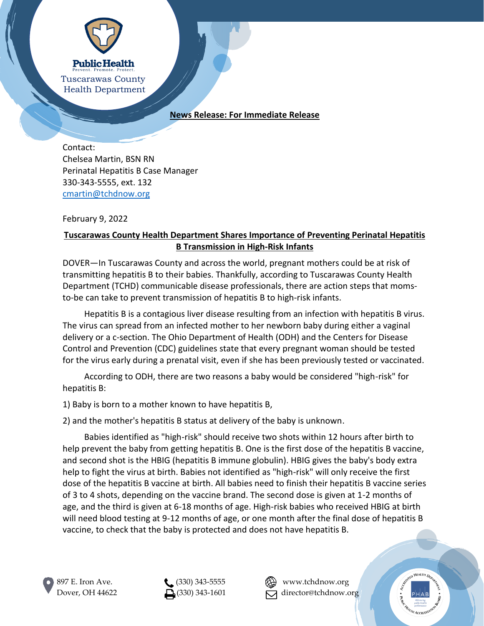

## **News Release: For Immediate Release**

Contact: Chelsea Martin, BSN RN Perinatal Hepatitis B Case Manager 330-343-5555, ext. 132 [cmartin@tchdnow.org](mailto:cmartin@tchdnow.org)

February 9, 2022

## **Tuscarawas County Health Department Shares Importance of Preventing Perinatal Hepatitis B Transmission in High-Risk Infants**

DOVER—In Tuscarawas County and across the world, pregnant mothers could be at risk of transmitting hepatitis B to their babies. Thankfully, according to Tuscarawas County Health Department (TCHD) communicable disease professionals, there are action steps that momsto-be can take to prevent transmission of hepatitis B to high-risk infants.

Hepatitis B is a contagious liver disease resulting from an infection with hepatitis B virus. The virus can spread from an infected mother to her newborn baby during either a vaginal delivery or a c-section. The Ohio Department of Health (ODH) and the Centers for Disease Control and Prevention (CDC) guidelines state that every pregnant woman should be tested for the virus early during a prenatal visit, even if she has been previously tested or vaccinated.

According to ODH, there are two reasons a baby would be considered "high-risk" for hepatitis B:

1) Baby is born to a mother known to have hepatitis B,

2) and the mother's hepatitis B status at delivery of the baby is unknown.

Babies identified as "high-risk" should receive two shots within 12 hours after birth to help prevent the baby from getting hepatitis B. One is the first dose of the hepatitis B vaccine, and second shot is the HBIG (hepatitis B immune globulin). HBIG gives the baby's body extra help to fight the virus at birth. Babies not identified as "high-risk" will only receive the first dose of the hepatitis B vaccine at birth. All babies need to finish their hepatitis B vaccine series of 3 to 4 shots, depending on the vaccine brand. The second dose is given at 1-2 months of age, and the third is given at 6-18 months of age. High-risk babies who received HBIG at birth will need blood testing at 9-12 months of age, or one month after the final dose of hepatitis B vaccine, to check that the baby is protected and does not have hepatitis B.



897 E. Iron Ave. (330) 343-5555 **AVA** www.tchdnow.org Dover, OH 44622  $\Box$  (330) 343-1601  $\Box$  director@tchdnow.org